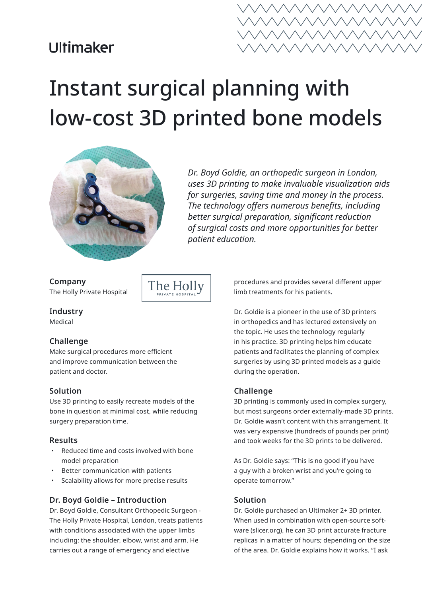## **Ultimaker**



# Instant surgical planning with low-cost 3D printed bone models



*Dr. Boyd Goldie, an orthopedic surgeon in London, uses 3D printing to make invaluable visualization aids for surgeries, saving time and money in the process. The technology offers numerous benefits, including better surgical preparation, significant reduction of surgical costs and more opportunities for better patient education.*

**Company** The Holly Private Hospital

**Industry**

Medical

#### **Challenge**

Make surgical procedures more efficient and improve communication between the patient and doctor.

The Holly

#### **Solution**

Use 3D printing to easily recreate models of the bone in question at minimal cost, while reducing surgery preparation time.

#### **Results**

- Reduced time and costs involved with bone model preparation
- Better communication with patients
- Scalability allows for more precise results

#### **Dr. Boyd Goldie – Introduction**

Dr. Boyd Goldie, Consultant Orthopedic Surgeon - The Holly Private Hospital, London, treats patients with conditions associated with the upper limbs including: the shoulder, elbow, wrist and arm. He carries out a range of emergency and elective

procedures and provides several different upper limb treatments for his patients.

Dr. Goldie is a pioneer in the use of 3D printers in orthopedics and has lectured extensively on the topic. He uses the technology regularly in his practice. 3D printing helps him educate patients and facilitates the planning of complex surgeries by using 3D printed models as a guide during the operation.

#### **Challenge**

3D printing is commonly used in complex surgery, but most surgeons order externally-made 3D prints. Dr. Goldie wasn't content with this arrangement. It was very expensive (hundreds of pounds per print) and took weeks for the 3D prints to be delivered.

As Dr. Goldie says: "This is no good if you have a guy with a broken wrist and you're going to operate tomorrow."

#### **Solution**

Dr. Goldie purchased an Ultimaker 2+ 3D printer. When used in combination with open-source software (slicer.org), he can 3D print accurate fracture replicas in a matter of hours; depending on the size of the area. Dr. Goldie explains how it works. "I ask